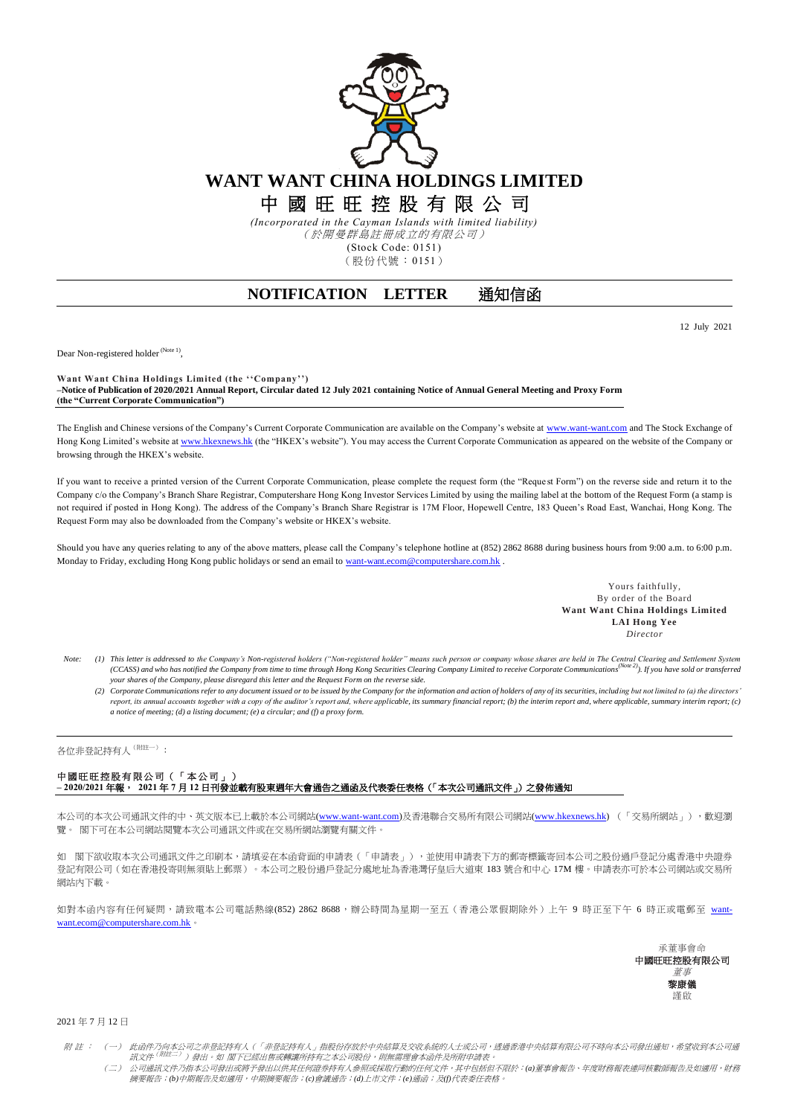

中 國 旺 旺 控 股 有 限 公 司

*(Incorporated in the Cayman Islands with limited liability)* (於開曼群島註冊成立的有限公司) (Stock Code: 0151)

(股份代號:0151)

## **NOTIFICATION LETTER 通知信函**

12 July 2021

Dear Non-registered holder<sup>(Note 1)</sup>,

**Want Want China Holdings Limited (the ''Company'') –Notice of Publication of 2020/2021 Annual Report, Circular dated 12 July 2021 containing Notice of Annual General Meeting and Proxy Form (the "Current Corporate Communication")**

The English and Chinese versions of the Company's Current Corporate Communication are available on the Company's website at [www.want-want.com](http://www.want-want.com/) and The Stock Exchange of Hong Kong Limited's website a[t www.hkexnews.hk](http://www.hkexnews.hk/) (the "HKEX's website"). You may access the Current Corporate Communication as appeared on the website of the Company or browsing through the HKEX's website.

If you want to receive a printed version of the Current Corporate Communication, please complete the request form (the "Reque st Form") on the reverse side and return it to the Company c/o the Company's Branch Share Registrar, Computershare Hong Kong Investor Services Limited by using the mailing label at the bottom of the Request Form (a stamp is not required if posted in Hong Kong). The address of the Company's Branch Share Registrar is 17M Floor, Hopewell Centre, 183 Queen's Road East, Wanchai, Hong Kong. The Request Form may also be downloaded from the Company's website or HKEX's website.

Should you have any queries relating to any of the above matters, please call the Company's telephone hotline at (852) 2862 8688 during business hours from 9:00 a.m. to 6:00 p.m. Monday to Friday, excluding Hong Kong public holidays or send an email t[o want-want.ecom@computershare.com.hk](mailto:want-want.ecom@computershare.com.hk) .

> Yours faithfully, By order of the Board **Want Want China Holdings Limited LAI Hong Yee** *Director*

- Note: (1) This letter is addressed to the Company's Non-registered holders ("Non-registered holder" means such person or company whose shares are held in The Central Clearing and Settlement System<br>(CCASS) and who has notif *your shares of the Company, please disregard this letter and the Request Form on the reverse side.*
	- (2) Corporate Communications refer to any document issued or to be issued by the Company for the information and action of holders of any of its securities, including but not limited to (a) the directors' report, its annual accounts together with a copy of the auditor's report and, where applicable, its summary financial report; (b) the interim report and, where applicable, summary interim report; (c) *a notice of meeting; (d) a listing document; (e) a circular; and (f) a proxy form.*

各位非登記持有人(附註一):

## 中國旺旺控股有限公司(「本公司」) **– 2020/2021** 年報, **2021** 年 **7** 月 **12** 日刊發並載有股東週年大會通告之通函及代表委任表格(「本次公司通訊文件」)之發佈通知

本公司的本次公司通訊文件的中、英文版本已上載於本公司網站[\(www.want-want.com\)](http://www.want-want.com/)及香港聯合交易所有限公司網站[\(www.hkexnews.hk\)](http://www.hkexnews.hk/) (「交易所網站」),歡迎瀏 覽。 閣下可在本公司網站閱覽本次公司通訊文件或在交易所網站瀏覽有關文件。

如 閣下欲收取本次公司通訊文件之印刷本,請填妥在本函背面的申請表 (「申請表」),並使用申請表下方的郵寄標籤寄回本公司之股份過戶登記分處香港中央證券 登記有限公司(如在香港投寄則無須貼上郵票)。本公司之股份過戶登記分處地址為香港灣仔皇后大道東 183 號合和中心 17M 樓。申請表亦可於本公司網站或交易所 網站內下載。

如對本函內容有任何疑問,請致電本公司電話熱線(852) 2862 8688,辦公時間為星期一至五(香港公眾假期除外)上午 9 時正至下午 6 時正或電郵至 [want](mailto:want-want.ecom@computershare.com.hk)[want.ecom@computershare.com.hk](mailto:want-want.ecom@computershare.com.hk)



2021 年 7 月 12 日

附 註 : (一)此函件乃向本公司之非登記持有人(「非登記持有人」指股份存放於中央結算及交收系統的人士或公司,透過香港中央結算有限公司不時向本公司發出通知,希望收到本公司通 訊文件 。<br>( ) 發出。如 閣下已經出售或轉讓所持有之本公司股份,則無需理會本函件及所附申請表。

(二) 公司通訊文件乃指本公司發出或將予發出以供其任何證券持有人參照或採取行動的任何文件,其中包括但不限於:*(a)*董事會報告、年度財務報表連同核數師報告及如適用,財務 摘要報告;*(b)*中期報告及如適用,中期摘要報告;*(c)*會議通告;*(d)*上市文件;*(e)*通函;及*(f)*代表委任表格。